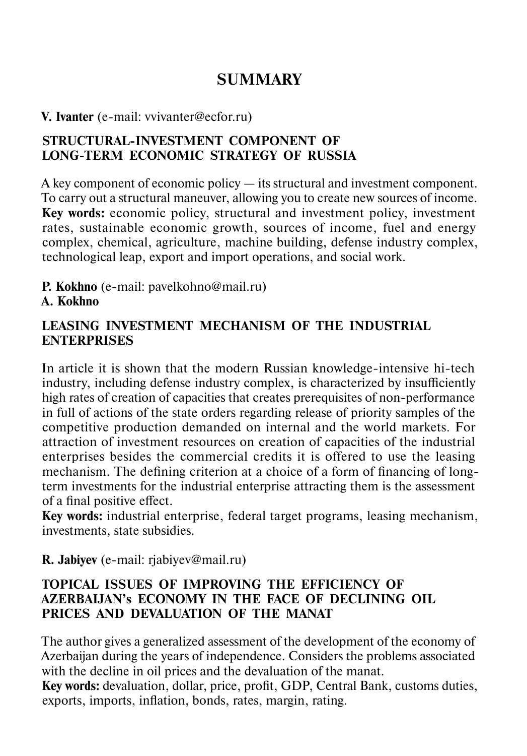# **SUMMARY**

#### **V. Ivanter** (e-mail: vvivanter@ecfor.ru)

#### **STRUCTURAL-INVESTMENT COMPONENT OF LONG-TERM ECONOMIC STRATEGY OF RUSSIA**

A key component of economic policy — its structural and investment component. To carry out a structural maneuver, allowing you to create new sources of income. **Key words:** economic policy, structural and investment policy, investment rates, sustainable economic growth, sources of income, fuel and energy complex, chemical, agriculture, machine building, defense industry complex, technological leap, export and import operations, and social work.

**P. Kokhno** (e-mail: pavelkohno@mail.ru)

#### **A. Kokhno**

#### **LEASING INVESTMENT MECHANISM OF THE INDUSTRIAL ENTERPRISES**

In article it is shown that the modern Russian knowledge-intensive hi-tech industry, including defense industry complex, is characterized by insufficiently high rates of creation of capacities that creates prerequisites of non-performance in full of actions of the state orders regarding release of priority samples of the competitive production demanded on internal and the world markets. For attraction of investment resources on creation of capacities of the industrial enterprises besides the commercial credits it is offered to use the leasing mechanism. The defining criterion at a choice of a form of financing of longterm investments for the industrial enterprise attracting them is the assessment of a final positive effect.

**Key words:** industrial enterprise, federal target programs, leasing mechanism, investments, state subsidies.

#### **R. Jabiyev** (e-mail: rjabiyev@mail.ru)

#### **TOPICAL ISSUES OF IMPROVING THE EFFICIENCY OF AZERBAIJAN's ECONOMY IN THE FACE OF DECLINING OIL PRICES AND DEVALUATION OF THE MANAT**

The author gives a generalized assessment of the development of the economy of Azerbaijan during the years of independence. Considers the problems associated with the decline in oil prices and the devaluation of the manat.

**Key words:** devaluation, dollar, price, profit, GDP, Central Bank, customs duties, exports, imports, inflation, bonds, rates, margin, rating.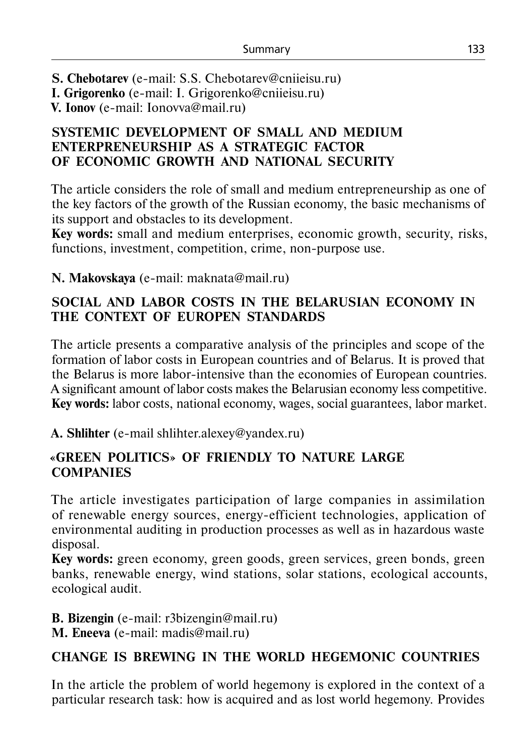**S. Chebotarev** (e-mail: S.S. Chebotarev@cniieisu.ru)

**I. Grigorenko** (e-mail: I. Grigorenko@cniieisu.ru)

**V. Ionov** (e-mail: Ionovva@mail.ru)

#### **SYSTEMIC DEVELOPMENT OF SMALL AND MEDIUM ENTERPRENEURSHIP AS A STRATEGIC FACTOR OF ECONOMIC GROWTH AND NATIONAL SECURITY**

The article considers the role of small and medium entrepreneurship as one of the key factors of the growth of the Russian economy, the basic mechanisms of its support and obstacles to its development.

**Key words:** small and medium enterprises, economic growth, security, risks, functions, investment, competition, crime, non-purpose use.

**N. Makovskaya** (e-mail: maknata@mail.ru)

### **SOCIAL AND LABOR COSTS IN THE BELARUSIAN ECONOMY IN THE CONTEXT OF EUROPEN STANDARDS**

The article presents a comparative analysis of the principles and scope of the formation of labor costs in European countries and of Belarus. It is proved that the Belarus is more labor-intensive than the economies of European countries. A significant amount of labor costs makes the Belarusian economy less competitive. **Key words:** labor costs, national economy, wages, social guarantees, labor market.

**A. Shlihter** (e-mail shlihter.alexey@yandex.ru)

## **«GREEN POLITICS» OF FRIENDLY TO NATURE LARGE COMPANIES**

The article investigates participation of large companies in assimilation of renewable energy sources, energy-efficient technologies, application of environmental auditing in production processes as well as in hazardous waste disposal.

**Key words:** green economy, green goods, green services, green bonds, green banks, renewable energy, wind stations, solar stations, ecological accounts, ecological audit.

**B. Bizengin** (е-mail: r3bizengin@mail.ru) **M. Eneevа** (е-mail: madis@mail.ru)

# **CHANGE IS BREWING IN THE WORLD HEGEMONIC COUNTRIES**

In the article the problem of world hegemony is explored in the context of a particular research task: how is acquired and as lost world hegemony. Provides